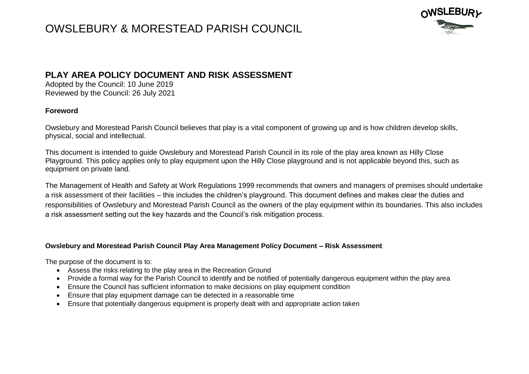

### **PLAY AREA POLICY DOCUMENT AND RISK ASSESSMENT**

Adopted by the Council: 10 June 2019 Reviewed by the Council: 26 July 2021

#### **Foreword**

Owslebury and Morestead Parish Council believes that play is a vital component of growing up and is how children develop skills, physical, social and intellectual.

This document is intended to guide Owslebury and Morestead Parish Council in its role of the play area known as Hilly Close Playground. This policy applies only to play equipment upon the Hilly Close playground and is not applicable beyond this, such as equipment on private land.

The Management of Health and Safety at Work Regulations 1999 recommends that owners and managers of premises should undertake a risk assessment of their facilities – this includes the children's playground. This document defines and makes clear the duties and responsibilities of Owslebury and Morestead Parish Council as the owners of the play equipment within its boundaries. This also includes a risk assessment setting out the key hazards and the Council's risk mitigation process.

#### **Owslebury and Morestead Parish Council Play Area Management Policy Document – Risk Assessment**

The purpose of the document is to:

- Assess the risks relating to the play area in the Recreation Ground
- Provide a formal way for the Parish Council to identify and be notified of potentially dangerous equipment within the play area
- Ensure the Council has sufficient information to make decisions on play equipment condition
- Ensure that play equipment damage can be detected in a reasonable time
- Ensure that potentially dangerous equipment is properly dealt with and appropriate action taken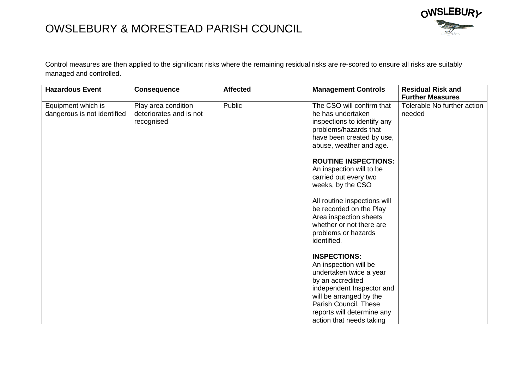

Control measures are then applied to the significant risks where the remaining residual risks are re-scored to ensure all risks are suitably managed and controlled.

| <b>Hazardous Event</b>                            | <b>Consequence</b>                                           | <b>Affected</b> | <b>Management Controls</b>                                                                                                                                                                                                                                                                              | <b>Residual Risk and</b>              |
|---------------------------------------------------|--------------------------------------------------------------|-----------------|---------------------------------------------------------------------------------------------------------------------------------------------------------------------------------------------------------------------------------------------------------------------------------------------------------|---------------------------------------|
|                                                   |                                                              |                 |                                                                                                                                                                                                                                                                                                         | <b>Further Measures</b>               |
| Equipment which is<br>dangerous is not identified | Play area condition<br>deteriorates and is not<br>recognised | Public          | The CSO will confirm that<br>he has undertaken<br>inspections to identify any<br>problems/hazards that<br>have been created by use,<br>abuse, weather and age.<br><b>ROUTINE INSPECTIONS:</b><br>An inspection will to be<br>carried out every two<br>weeks, by the CSO<br>All routine inspections will | Tolerable No further action<br>needed |
|                                                   |                                                              |                 | be recorded on the Play<br>Area inspection sheets<br>whether or not there are<br>problems or hazards<br>identified.                                                                                                                                                                                     |                                       |
|                                                   |                                                              |                 | <b>INSPECTIONS:</b><br>An inspection will be<br>undertaken twice a year<br>by an accredited<br>independent Inspector and<br>will be arranged by the<br>Parish Council. These<br>reports will determine any                                                                                              |                                       |
|                                                   |                                                              |                 | action that needs taking                                                                                                                                                                                                                                                                                |                                       |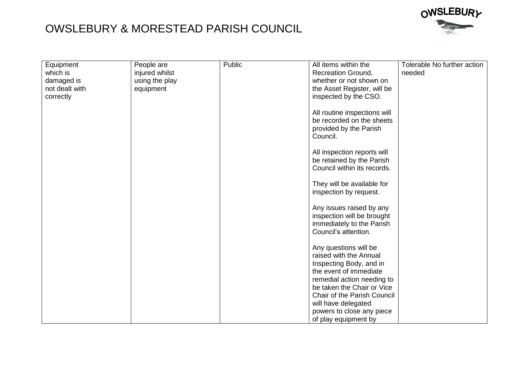

| Equipment      | People are     | Public | All items within the                            | Tolerable No further action |
|----------------|----------------|--------|-------------------------------------------------|-----------------------------|
| which is       | injured whilst |        | Recreation Ground,                              | needed                      |
| damaged is     | using the play |        | whether or not shown on                         |                             |
| not dealt with | equipment      |        | the Asset Register, will be                     |                             |
| correctly      |                |        | inspected by the CSO.                           |                             |
|                |                |        |                                                 |                             |
|                |                |        | All routine inspections will                    |                             |
|                |                |        | be recorded on the sheets                       |                             |
|                |                |        | provided by the Parish                          |                             |
|                |                |        | Council.                                        |                             |
|                |                |        |                                                 |                             |
|                |                |        | All inspection reports will                     |                             |
|                |                |        | be retained by the Parish                       |                             |
|                |                |        | Council within its records.                     |                             |
|                |                |        |                                                 |                             |
|                |                |        | They will be available for                      |                             |
|                |                |        | inspection by request.                          |                             |
|                |                |        |                                                 |                             |
|                |                |        | Any issues raised by any                        |                             |
|                |                |        | inspection will be brought                      |                             |
|                |                |        | immediately to the Parish                       |                             |
|                |                |        | Council's attention.                            |                             |
|                |                |        |                                                 |                             |
|                |                |        | Any questions will be<br>raised with the Annual |                             |
|                |                |        | Inspecting Body, and in                         |                             |
|                |                |        | the event of immediate                          |                             |
|                |                |        | remedial action needing to                      |                             |
|                |                |        | be taken the Chair or Vice                      |                             |
|                |                |        | Chair of the Parish Council                     |                             |
|                |                |        | will have delegated                             |                             |
|                |                |        | powers to close any piece                       |                             |
|                |                |        |                                                 |                             |
|                |                |        | of play equipment by                            |                             |